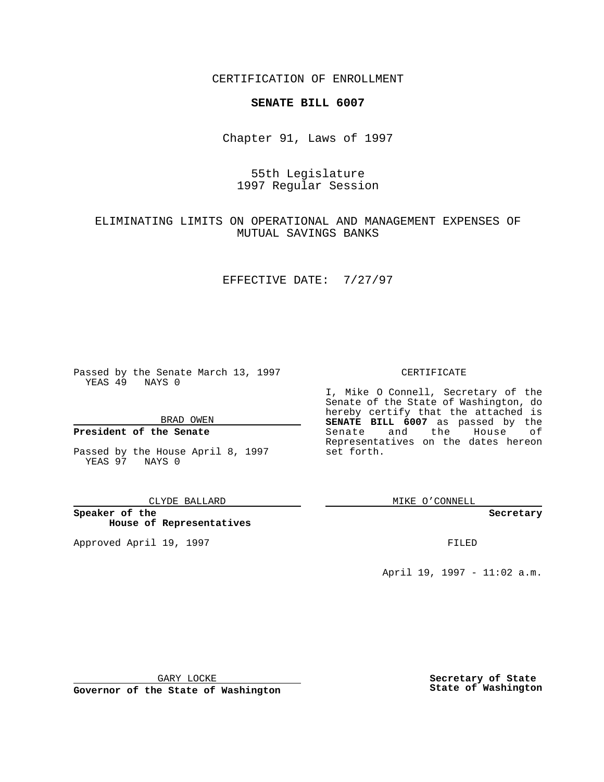CERTIFICATION OF ENROLLMENT

## **SENATE BILL 6007**

Chapter 91, Laws of 1997

# 55th Legislature 1997 Regular Session

## ELIMINATING LIMITS ON OPERATIONAL AND MANAGEMENT EXPENSES OF MUTUAL SAVINGS BANKS

### EFFECTIVE DATE: 7/27/97

Passed by the Senate March 13, 1997 YEAS 49 NAYS 0

BRAD OWEN

### **President of the Senate**

Passed by the House April 8, 1997 YEAS 97 NAYS 0

#### CLYDE BALLARD

**Speaker of the House of Representatives**

Approved April 19, 1997 **FILED** 

### CERTIFICATE

I, Mike O Connell, Secretary of the Senate of the State of Washington, do hereby certify that the attached is **SENATE BILL 6007** as passed by the Senate and the House of Representatives on the dates hereon set forth.

MIKE O'CONNELL

#### **Secretary**

April 19, 1997 - 11:02 a.m.

GARY LOCKE

**Governor of the State of Washington**

**Secretary of State State of Washington**